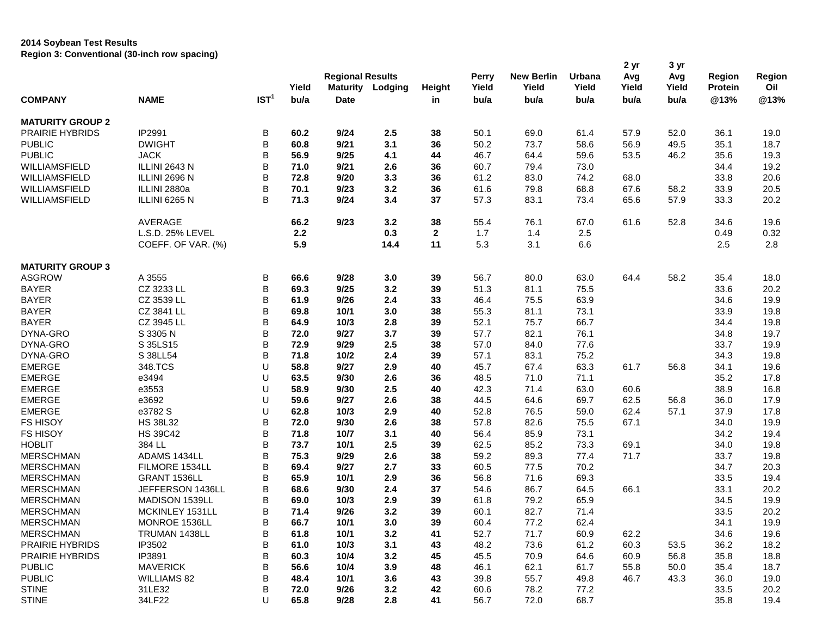## **2014 Soybean Test Results Region 3: Conventional (30-inch row spacing)**

|                               |                                  |                  |       |                         |         |               |              |                   |        | 2 yr  | 3 yr  |                |        |
|-------------------------------|----------------------------------|------------------|-------|-------------------------|---------|---------------|--------------|-------------------|--------|-------|-------|----------------|--------|
|                               |                                  |                  |       | <b>Regional Results</b> |         |               | <b>Perry</b> | <b>New Berlin</b> | Urbana | Avg   | Avg   | Region         | Region |
|                               |                                  |                  | Yield | <b>Maturity</b>         | Lodging | <b>Height</b> | Yield        | Yield             | Yield  | Yield | Yield | <b>Protein</b> | Oil    |
| <b>COMPANY</b>                | <b>NAME</b>                      | IST <sup>1</sup> | bu/a  | <b>Date</b>             |         | in            | bu/a         | bu/a              | bu/a   | bu/a  | bu/a  | @13%           | @13%   |
| <b>MATURITY GROUP 2</b>       |                                  |                  |       |                         |         |               |              |                   |        |       |       |                |        |
| <b>PRAIRIE HYBRIDS</b>        | IP2991                           | B                | 60.2  | 9/24                    | 2.5     | 38            | 50.1         | 69.0              | 61.4   | 57.9  | 52.0  | 36.1           | 19.0   |
| <b>PUBLIC</b>                 | <b>DWIGHT</b>                    | B                | 60.8  | 9/21                    | 3.1     | 36            | 50.2         | 73.7              | 58.6   | 56.9  | 49.5  | 35.1           | 18.7   |
| <b>PUBLIC</b>                 | <b>JACK</b>                      | B                | 56.9  | 9/25                    | 4.1     | 44            | 46.7         | 64.4              | 59.6   | 53.5  | 46.2  | 35.6           | 19.3   |
| WILLIAMSFIELD                 | ILLINI 2643 N                    | B                | 71.0  | 9/21                    | 2.6     | 36            | 60.7         | 79.4              | 73.0   |       |       | 34.4           | 19.2   |
| WILLIAMSFIELD                 | ILLINI 2696 N                    | B                | 72.8  | 9/20                    | 3.3     | 36            | 61.2         | 83.0              | 74.2   | 68.0  |       | 33.8           | 20.6   |
| WILLIAMSFIELD                 | ILLINI 2880a                     | B                | 70.1  | 9/23                    | 3.2     | 36            | 61.6         | 79.8              | 68.8   | 67.6  | 58.2  | 33.9           | 20.5   |
| WILLIAMSFIELD                 | ILLINI 6265 N                    | B                | 71.3  | 9/24                    | 3.4     | 37            | 57.3         | 83.1              | 73.4   | 65.6  | 57.9  | 33.3           | 20.2   |
|                               |                                  |                  |       |                         |         |               |              |                   |        |       |       |                |        |
|                               | AVERAGE                          |                  | 66.2  | 9/23                    | 3.2     | 38            | 55.4         | 76.1              | 67.0   | 61.6  | 52.8  | 34.6           | 19.6   |
|                               | L.S.D. 25% LEVEL                 |                  | 2.2   |                         | 0.3     | $\mathbf{2}$  | 1.7          | 1.4               | 2.5    |       |       | 0.49           | 0.32   |
|                               | COEFF. OF VAR. (%)               |                  | 5.9   |                         | 14.4    | 11            | 5.3          | 3.1               | 6.6    |       |       | 2.5            | 2.8    |
| <b>MATURITY GROUP 3</b>       |                                  |                  |       |                         |         |               |              |                   |        |       |       |                |        |
| <b>ASGROW</b>                 | A 3555                           | В                | 66.6  | 9/28                    | 3.0     | 39            | 56.7         | 80.0              | 63.0   | 64.4  | 58.2  | 35.4           | 18.0   |
| <b>BAYER</b>                  | CZ 3233 LL                       | B                | 69.3  | 9/25                    | 3.2     | 39            | 51.3         | 81.1              | 75.5   |       |       | 33.6           | 20.2   |
| <b>BAYER</b>                  | CZ 3539 LL                       | B                | 61.9  | 9/26                    | 2.4     | 33            | 46.4         | 75.5              | 63.9   |       |       | 34.6           | 19.9   |
| <b>BAYER</b>                  | CZ 3841 LL                       | B                | 69.8  | 10/1                    | 3.0     | 38            | 55.3         | 81.1              | 73.1   |       |       | 33.9           | 19.8   |
| <b>BAYER</b>                  | CZ 3945 LL                       | B                | 64.9  | 10/3                    | 2.8     | 39            | 52.1         | 75.7              | 66.7   |       |       | 34.4           | 19.8   |
| DYNA-GRO                      | S 3305 N                         | B                | 72.0  | 9/27                    | 3.7     | 39            | 57.7         | 82.1              | 76.1   |       |       | 34.8           | 19.7   |
| DYNA-GRO                      | S 35LS15                         | B                | 72.9  | 9/29                    | 2.5     | 38            | 57.0         | 84.0              | 77.6   |       |       | 33.7           | 19.9   |
| DYNA-GRO                      | S 38LL54                         | B                | 71.8  | 10/2                    | 2.4     | 39            | 57.1         | 83.1              | 75.2   |       |       | 34.3           | 19.8   |
| <b>EMERGE</b>                 | 348.TCS                          | U                | 58.8  | 9/27                    | 2.9     | 40            | 45.7         | 67.4              | 63.3   | 61.7  | 56.8  | 34.1           | 19.6   |
| <b>EMERGE</b>                 | e3494                            | U                | 63.5  | 9/30                    | 2.6     | 36            | 48.5         | 71.0              | 71.1   |       |       | 35.2           | 17.8   |
| <b>EMERGE</b>                 | e3553                            | U                | 58.9  | 9/30                    | 2.5     | 40            | 42.3         | 71.4              | 63.0   | 60.6  |       | 38.9           | 16.8   |
| <b>EMERGE</b>                 | e3692                            | U                | 59.6  | 9/27                    | 2.6     | 38            | 44.5         | 64.6              | 69.7   | 62.5  | 56.8  | 36.0           | 17.9   |
| <b>EMERGE</b>                 | e3782 S                          | U                | 62.8  | 10/3                    | 2.9     | 40            | 52.8         | 76.5              | 59.0   | 62.4  | 57.1  | 37.9           | 17.8   |
| <b>FS HISOY</b>               | <b>HS 38L32</b>                  | B                | 72.0  | 9/30                    | 2.6     | 38            | 57.8         | 82.6              | 75.5   | 67.1  |       | 34.0           | 19.9   |
| <b>FS HISOY</b>               | <b>HS 39C42</b>                  | B                | 71.8  | 10/7                    | 3.1     | 40            | 56.4         | 85.9              | 73.1   |       |       | 34.2           | 19.4   |
| <b>HOBLIT</b>                 | 384 LL                           | B                | 73.7  | 10/1                    | 2.5     | 39            | 62.5         | 85.2              | 73.3   | 69.1  |       | 34.0           | 19.8   |
| <b>MERSCHMAN</b>              | ADAMS 1434LL                     | B                | 75.3  | 9/29                    | 2.6     | 38            | 59.2         | 89.3              | 77.4   | 71.7  |       | 33.7           | 19.8   |
| <b>MERSCHMAN</b>              | FILMORE 1534LL                   | B                | 69.4  | 9/27                    | 2.7     | 33            | 60.5         | 77.5              | 70.2   |       |       | 34.7           | 20.3   |
| <b>MERSCHMAN</b>              | GRANT 1536LL                     | B                | 65.9  | 10/1                    | 2.9     | 36            | 56.8         | 71.6              | 69.3   |       |       | 33.5           | 19.4   |
| <b>MERSCHMAN</b>              | JEFFERSON 1436LL                 | B                | 68.6  | 9/30                    | 2.4     | 37            | 54.6         | 86.7              | 64.5   | 66.1  |       | 33.1           | 20.2   |
| <b>MERSCHMAN</b>              | MADISON 1539LL                   | B                | 69.0  | 10/3                    | 2.9     | 39            | 61.8         | 79.2              | 65.9   |       |       | 34.5           | 19.9   |
|                               |                                  | В                | 71.4  | 9/26                    | 3.2     | 39            | 60.1         |                   | 71.4   |       |       |                | 20.2   |
| <b>MERSCHMAN</b><br>MERSCHMAN | MCKINLEY 1531LL<br>MONROE 1536LL | В                | 66.7  | 10/1                    | 3.0     | 39            | 60.4         | 82.7<br>77.2      | 62.4   |       |       | 33.5<br>34.1   | 19.9   |
|                               |                                  |                  |       |                         |         |               |              |                   |        |       |       |                |        |
| <b>MERSCHMAN</b>              | TRUMAN 1438LL                    | В                | 61.8  | 10/1                    | 3.2     | 41            | 52.7         | 71.7              | 60.9   | 62.2  |       | 34.6           | 19.6   |
| <b>PRAIRIE HYBRIDS</b>        | IP3502                           | В                | 61.0  | 10/3                    | 3.1     | 43            | 48.2         | 73.6              | 61.2   | 60.3  | 53.5  | 36.2           | 18.2   |
| <b>PRAIRIE HYBRIDS</b>        | IP3891                           | B                | 60.3  | 10/4                    | 3.2     | 45            | 45.5         | 70.9              | 64.6   | 60.9  | 56.8  | 35.8           | 18.8   |
| <b>PUBLIC</b>                 | <b>MAVERICK</b>                  | B                | 56.6  | 10/4                    | 3.9     | 48            | 46.1         | 62.1              | 61.7   | 55.8  | 50.0  | 35.4           | 18.7   |
| <b>PUBLIC</b>                 | <b>WILLIAMS 82</b>               | B                | 48.4  | 10/1                    | 3.6     | 43            | 39.8         | 55.7              | 49.8   | 46.7  | 43.3  | 36.0           | 19.0   |
| <b>STINE</b>                  | 31LE32                           | В                | 72.0  | 9/26                    | 3.2     | 42            | 60.6         | 78.2              | 77.2   |       |       | 33.5           | 20.2   |
| <b>STINE</b>                  | 34LF22                           | U                | 65.8  | 9/28                    | 2.8     | 41            | 56.7         | 72.0              | 68.7   |       |       | 35.8           | 19.4   |